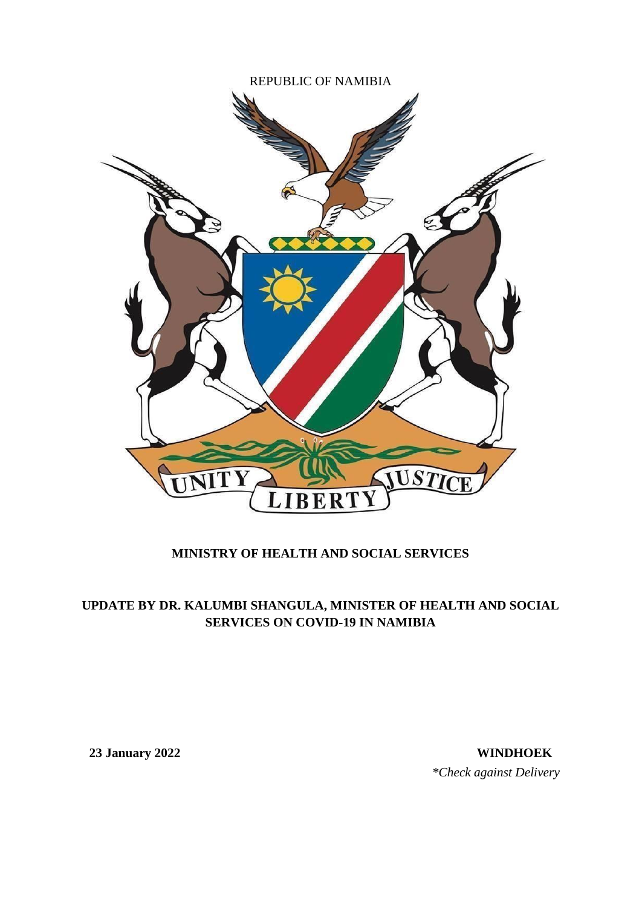

## **MINISTRY OF HEALTH AND SOCIAL SERVICES**

## **UPDATE BY DR. KALUMBI SHANGULA, MINISTER OF HEALTH AND SOCIAL SERVICES ON COVID-19 IN NAMIBIA**

**23 January 2022 WINDHOEK** *\*Check against Delivery*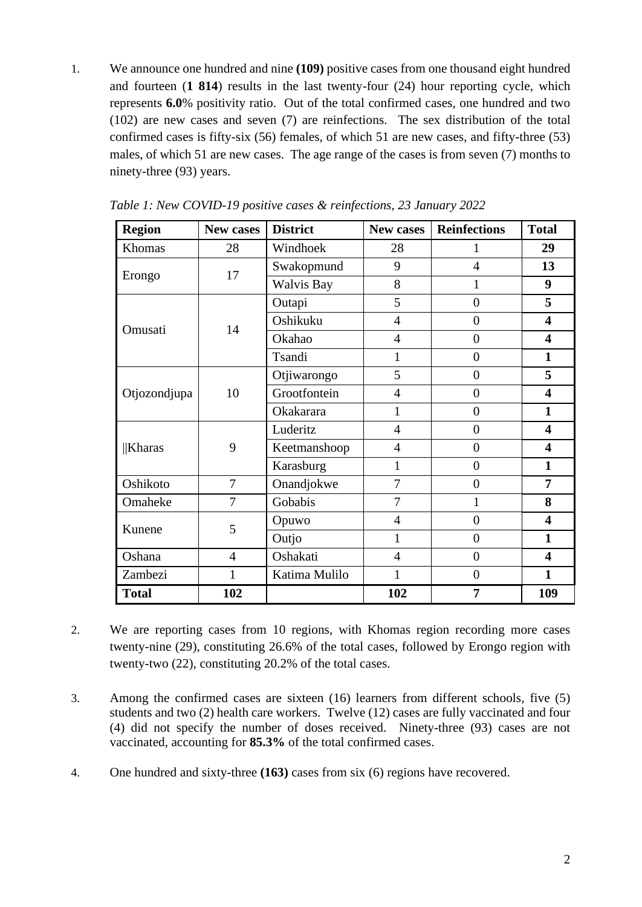1. We announce one hundred and nine **(109)** positive cases from one thousand eight hundred and fourteen (**1 814**) results in the last twenty-four (24) hour reporting cycle, which represents **6.0**% positivity ratio. Out of the total confirmed cases, one hundred and two (102) are new cases and seven (7) are reinfections. The sex distribution of the total confirmed cases is fifty-six (56) females, of which 51 are new cases, and fifty-three (53) males, of which 51 are new cases. The age range of the cases is from seven (7) months to ninety-three (93) years.

| <b>Region</b> | New cases      | <b>District</b>   | New cases      | <b>Reinfections</b> | <b>Total</b>            |
|---------------|----------------|-------------------|----------------|---------------------|-------------------------|
| Khomas        | 28             | Windhoek          | 28             | 1                   | 29                      |
|               | 17             | Swakopmund        | 9              | $\overline{4}$      | 13                      |
| Erongo        |                | <b>Walvis Bay</b> | 8              | $\mathbf{1}$        | 9                       |
|               |                | Outapi            | 5              | $\overline{0}$      | 5                       |
|               | 14             | Oshikuku          | $\overline{4}$ | $\overline{0}$      | $\overline{\mathbf{4}}$ |
| Omusati       |                | Okahao            | $\overline{4}$ | $\overline{0}$      | $\overline{\mathbf{4}}$ |
|               |                | Tsandi            | $\mathbf{1}$   | $\theta$            | $\mathbf{1}$            |
|               |                | Otjiwarongo       | 5              | $\overline{0}$      | 5                       |
| Otjozondjupa  | 10             | Grootfontein      | $\overline{4}$ | $\overline{0}$      | $\overline{\mathbf{4}}$ |
|               |                | Okakarara         | 1              | $\overline{0}$      | $\mathbf{1}$            |
|               |                | Luderitz          | $\overline{4}$ | $\overline{0}$      | $\overline{\mathbf{4}}$ |
| $\ $ Kharas   | 9              | Keetmanshoop      | $\overline{4}$ | $\overline{0}$      | $\overline{\mathbf{4}}$ |
|               |                | Karasburg         | 1              | $\overline{0}$      | $\mathbf{1}$            |
| Oshikoto      | 7              | Onandjokwe        | 7              | $\overline{0}$      | $\overline{7}$          |
| Omaheke       | $\overline{7}$ | Gobabis           | $\overline{7}$ | 1                   | 8                       |
| Kunene        | 5              | Opuwo             | $\overline{4}$ | $\overline{0}$      | $\overline{\mathbf{4}}$ |
|               |                | Outjo             | 1              | $\overline{0}$      | $\mathbf{1}$            |
| Oshana        | $\overline{4}$ | Oshakati          | $\overline{4}$ | $\overline{0}$      | $\overline{\mathbf{4}}$ |
| Zambezi       | 1              | Katima Mulilo     | 1              | $\overline{0}$      | $\mathbf{1}$            |
| <b>Total</b>  | 102            |                   | 102            | 7                   | 109                     |

*Table 1: New COVID-19 positive cases & reinfections, 23 January 2022*

- 2. We are reporting cases from 10 regions, with Khomas region recording more cases twenty-nine (29), constituting 26.6% of the total cases, followed by Erongo region with twenty-two (22), constituting 20.2% of the total cases.
- 3. Among the confirmed cases are sixteen (16) learners from different schools, five (5) students and two (2) health care workers. Twelve (12) cases are fully vaccinated and four (4) did not specify the number of doses received. Ninety-three (93) cases are not vaccinated, accounting for **85.3%** of the total confirmed cases.
- 4. One hundred and sixty-three **(163)** cases from six (6) regions have recovered.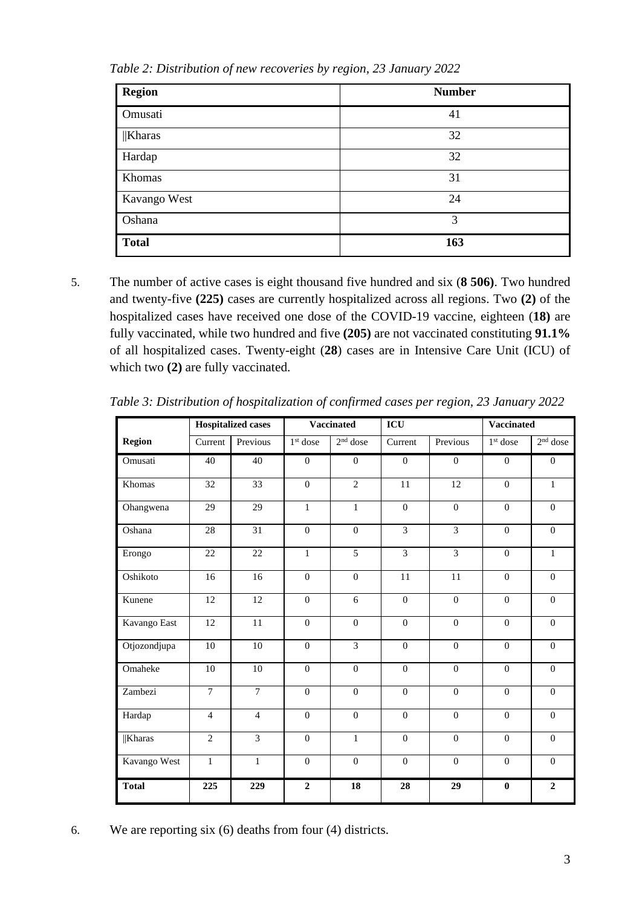| <b>Region</b> | <b>Number</b> |
|---------------|---------------|
| Omusati       | 41            |
| $\ $ Kharas   | 32            |
| Hardap        | 32            |
| Khomas        | 31            |
| Kavango West  | 24            |
| Oshana        | 3             |
| <b>Total</b>  | 163           |

*Table 2: Distribution of new recoveries by region, 23 January 2022*

5. The number of active cases is eight thousand five hundred and six (**8 506)**. Two hundred and twenty-five **(225)** cases are currently hospitalized across all regions. Two **(2)** of the hospitalized cases have received one dose of the COVID-19 vaccine, eighteen (**18)** are fully vaccinated, while two hundred and five **(205)** are not vaccinated constituting **91.1%** of all hospitalized cases. Twenty-eight (**28**) cases are in Intensive Care Unit (ICU) of which two **(2)** are fully vaccinated.

|               |                | <b>Hospitalized cases</b> |                | <b>Vaccinated</b> | ICU            |                  | <b>Vaccinated</b> |                  |
|---------------|----------------|---------------------------|----------------|-------------------|----------------|------------------|-------------------|------------------|
| <b>Region</b> | Current        | Previous                  | $1st$ dose     | $2nd$ dose        | Current        | Previous         | $1st$ dose        | $2nd$ dose       |
| Omusati       | 40             | 40                        | $\mathbf{0}$   | $\boldsymbol{0}$  | $\mathbf{0}$   | $\overline{0}$   | $\mathbf{0}$      | $\overline{0}$   |
| Khomas        | 32             | 33                        | $\mathbf{0}$   | $\overline{2}$    | 11             | 12               | $\mathbf{0}$      | $\mathbf{1}$     |
| Ohangwena     | 29             | 29                        | $\mathbf{1}$   | $\mathbf{1}$      | $\overline{0}$ | $\boldsymbol{0}$ | $\mathbf{0}$      | $\boldsymbol{0}$ |
| Oshana        | 28             | $\overline{31}$           | $\overline{0}$ | $\overline{0}$    | $\overline{3}$ | $\overline{3}$   | $\overline{0}$    | $\boldsymbol{0}$ |
| Erongo        | $22\,$         | 22                        | $\mathbf{1}$   | $\overline{5}$    | $\overline{3}$ | $\overline{3}$   | $\mathbf{0}$      | $\mathbf{1}$     |
| Oshikoto      | 16             | 16                        | $\Omega$       | $\boldsymbol{0}$  | 11             | 11               | $\boldsymbol{0}$  | $\Omega$         |
| Kunene        | 12             | 12                        | $\mathbf{0}$   | 6                 | $\mathbf{0}$   | $\boldsymbol{0}$ | $\mathbf{0}$      | $\boldsymbol{0}$ |
| Kavango East  | 12             | 11                        | $\mathbf{0}$   | $\boldsymbol{0}$  | $\mathbf{0}$   | $\boldsymbol{0}$ | $\boldsymbol{0}$  | $\boldsymbol{0}$ |
| Otjozondjupa  | 10             | 10                        | $\overline{0}$ | $\overline{3}$    | $\mathbf{0}$   | $\overline{0}$   | $\overline{0}$    | $\overline{0}$   |
| Omaheke       | 10             | 10                        | $\Omega$       | $\Omega$          | $\Omega$       | $\Omega$         | $\Omega$          | $\Omega$         |
| Zambezi       | $\overline{7}$ | $\overline{7}$            | $\mathbf{0}$   | $\overline{0}$    | $\overline{0}$ | $\overline{0}$   | $\overline{0}$    | $\overline{0}$   |
| Hardap        | $\overline{4}$ | $\overline{4}$            | $\mathbf{0}$   | $\boldsymbol{0}$  | $\mathbf{0}$   | $\boldsymbol{0}$ | $\boldsymbol{0}$  | $\boldsymbol{0}$ |
| <b>Kharas</b> | $\overline{2}$ | $\overline{3}$            | $\overline{0}$ | $\mathbf{1}$      | $\mathbf{0}$   | $\overline{0}$   | $\overline{0}$    | $\boldsymbol{0}$ |
| Kavango West  | $\mathbf{1}$   | $\mathbf{1}$              | $\overline{0}$ | $\boldsymbol{0}$  | $\mathbf{0}$   | $\overline{0}$   | $\mathbf{0}$      | $\overline{0}$   |
| <b>Total</b>  | 225            | 229                       | $\overline{2}$ | 18                | 28             | 29               | $\boldsymbol{0}$  | $\overline{2}$   |

*Table 3: Distribution of hospitalization of confirmed cases per region, 23 January 2022*

6. We are reporting six (6) deaths from four (4) districts.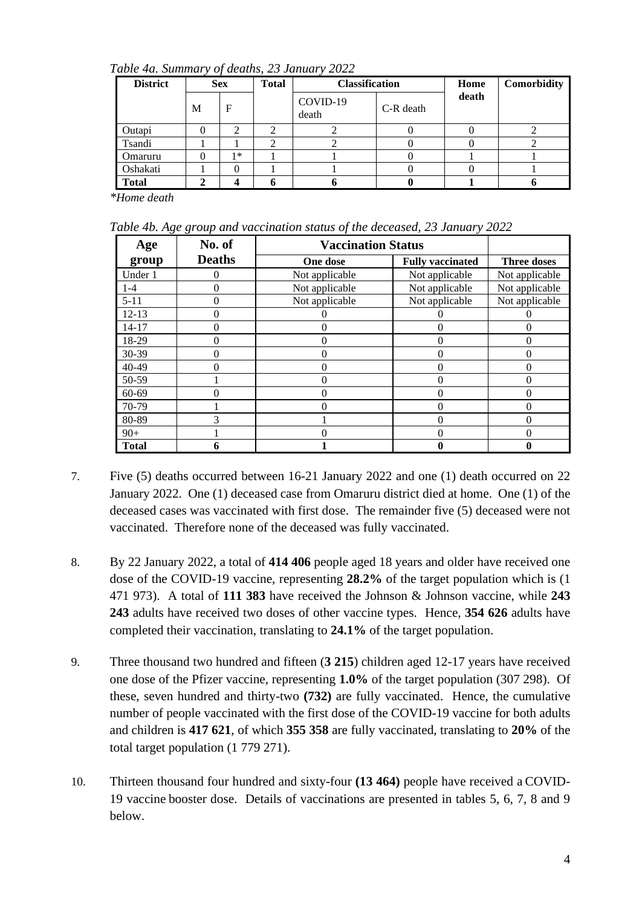*Table 4a. Summary of deaths, 23 January 2022*

| <b>District</b> |   | <b>Sex</b><br><b>Total</b> |  | <b>Classification</b> |           | Home  | Comorbidity |
|-----------------|---|----------------------------|--|-----------------------|-----------|-------|-------------|
|                 | M | F                          |  | COVID-19<br>death     | C-R death | death |             |
| Outapi          |   |                            |  |                       |           |       |             |
| Tsandi          |   |                            |  |                       |           |       |             |
| Omaruru         |   | $1*$                       |  |                       |           |       |             |
| Oshakati        |   | $\theta$                   |  |                       |           |       |             |
| <b>Total</b>    |   |                            |  |                       |           |       |             |

*\*Home death*

*Table 4b. Age group and vaccination status of the deceased, 23 January 2022*

| Age          | o o<br>No. of | <b>Vaccination Status</b> |                         |                    |
|--------------|---------------|---------------------------|-------------------------|--------------------|
| group        | <b>Deaths</b> | One dose                  | <b>Fully vaccinated</b> | <b>Three doses</b> |
| Under 1      | $\Omega$      | Not applicable            | Not applicable          | Not applicable     |
| $1 - 4$      | $\Omega$      | Not applicable            | Not applicable          | Not applicable     |
| $5 - 11$     | $\theta$      | Not applicable            | Not applicable          | Not applicable     |
| $12 - 13$    | $\Omega$      |                           |                         |                    |
| $14 - 17$    | $\Omega$      | 0                         | 0                       | 0                  |
| 18-29        | 0             | 0                         | $\Omega$                | 0                  |
| 30-39        | $\theta$      | 0                         | $\theta$                | 0                  |
| 40-49        | 0             | 0                         | $\Omega$                | 0                  |
| 50-59        |               | 0                         | $\Omega$                | 0                  |
| $60 - 69$    |               | 0                         |                         | 0                  |
| 70-79        |               | 0                         | $\theta$                | 0                  |
| 80-89        | 3             |                           | 0                       | 0                  |
| $90+$        |               | O                         |                         |                    |
| <b>Total</b> |               |                           |                         |                    |

- 7. Five (5) deaths occurred between 16-21 January 2022 and one (1) death occurred on 22 January 2022. One (1) deceased case from Omaruru district died at home. One (1) of the deceased cases was vaccinated with first dose. The remainder five (5) deceased were not vaccinated. Therefore none of the deceased was fully vaccinated.
- 8. By 22 January 2022, a total of **414 406** people aged 18 years and older have received one dose of the COVID-19 vaccine, representing **28.2%** of the target population which is (1 471 973). A total of **111 383** have received the Johnson & Johnson vaccine, while **243 243** adults have received two doses of other vaccine types. Hence, **354 626** adults have completed their vaccination, translating to **24.1%** of the target population.
- 9. Three thousand two hundred and fifteen (**3 215**) children aged 12-17 years have received one dose of the Pfizer vaccine, representing **1.0%** of the target population (307 298). Of these, seven hundred and thirty-two **(732)** are fully vaccinated. Hence, the cumulative number of people vaccinated with the first dose of the COVID-19 vaccine for both adults and children is **417 621**, of which **355 358** are fully vaccinated, translating to **20%** of the total target population (1 779 271).
- 10. Thirteen thousand four hundred and sixty-four **(13 464)** people have received a COVID-19 vaccine booster dose. Details of vaccinations are presented in tables 5, 6, 7, 8 and 9 below.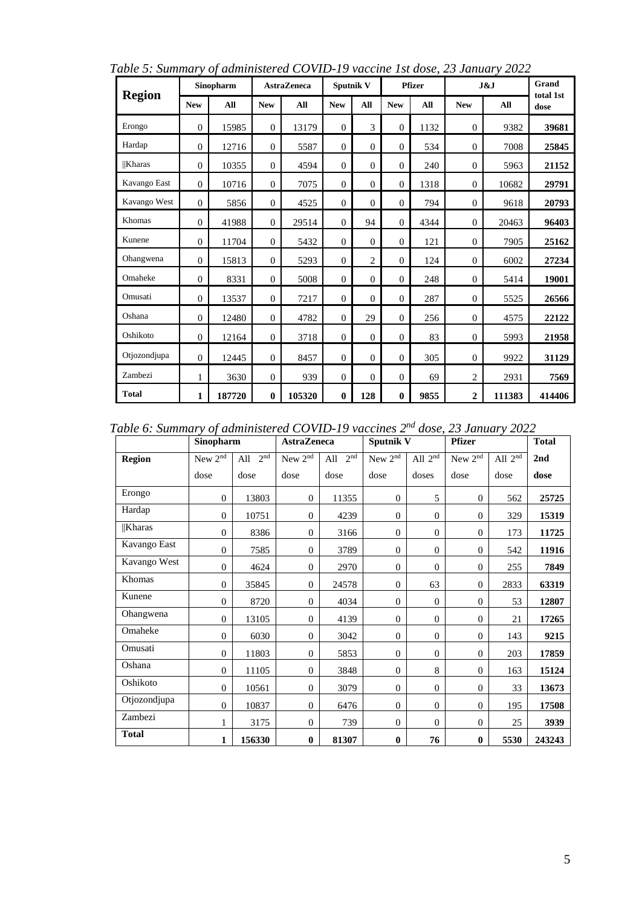| <b>Region</b> |                | Sinopharm |                | <b>AstraZeneca</b> | Sputnik V      |                |            | <b>Pfizer</b> |                | J&J    | Grand<br>total 1st |
|---------------|----------------|-----------|----------------|--------------------|----------------|----------------|------------|---------------|----------------|--------|--------------------|
|               | ${\bf New}$    | All       | <b>New</b>     | All                | <b>New</b>     | All            | <b>New</b> | All           | <b>New</b>     | All    | dose               |
| Erongo        | $\theta$       | 15985     | $\theta$       | 13179              | $\overline{0}$ | 3              | $\theta$   | 1132          | $\theta$       | 9382   | 39681              |
| Hardap        | $\Omega$       | 12716     | $\Omega$       | 5587               | $\Omega$       | $\Omega$       | $\Omega$   | 534           | $\theta$       | 7008   | 25845              |
| <b>Kharas</b> | $\overline{0}$ | 10355     | $\mathbf{0}$   | 4594               | $\overline{0}$ | $\Omega$       | $\Omega$   | 240           | $\theta$       | 5963   | 21152              |
| Kavango East  | $\Omega$       | 10716     | $\Omega$       | 7075               | $\Omega$       | $\Omega$       | $\Omega$   | 1318          | $\theta$       | 10682  | 29791              |
| Kavango West  | $\Omega$       | 5856      | $\Omega$       | 4525               | $\Omega$       | $\Omega$       | $\Omega$   | 794           | $\theta$       | 9618   | 20793              |
| Khomas        | $\theta$       | 41988     | $\Omega$       | 29514              | $\Omega$       | 94             | $\Omega$   | 4344          | $\theta$       | 20463  | 96403              |
| Kunene        | $\mathbf{0}$   | 11704     | $\mathbf{0}$   | 5432               | $\mathbf{0}$   | $\overline{0}$ | $\theta$   | 121           | $\theta$       | 7905   | 25162              |
| Ohangwena     | $\overline{0}$ | 15813     | $\theta$       | 5293               | $\overline{0}$ | $\overline{c}$ | $\Omega$   | 124           | $\mathbf{0}$   | 6002   | 27234              |
| Omaheke       | $\mathbf{0}$   | 8331      | $\mathbf{0}$   | 5008               | $\mathbf{0}$   | $\Omega$       | $\Omega$   | 248           | $\mathbf{0}$   | 5414   | 19001              |
| Omusati       | $\Omega$       | 13537     | $\Omega$       | 7217               | $\Omega$       | $\Omega$       | $\theta$   | 287           | $\Omega$       | 5525   | 26566              |
| Oshana        | $\Omega$       | 12480     | $\overline{0}$ | 4782               | $\Omega$       | 29             | $\theta$   | 256           | $\mathbf{0}$   | 4575   | 22122              |
| Oshikoto      | $\overline{0}$ | 12164     | $\overline{0}$ | 3718               | $\overline{0}$ | $\overline{0}$ | $\theta$   | 83            | $\theta$       | 5993   | 21958              |
| Otjozondjupa  | $\mathbf{0}$   | 12445     | $\mathbf{0}$   | 8457               | $\overline{0}$ | $\overline{0}$ | $\Omega$   | 305           | $\theta$       | 9922   | 31129              |
| Zambezi       | 1              | 3630      | $\overline{0}$ | 939                | $\overline{0}$ | $\Omega$       | $\theta$   | 69            | $\overline{2}$ | 2931   | 7569               |
| Total         | $\mathbf{1}$   | 187720    | $\bf{0}$       | 105320             | $\mathbf{0}$   | 128            | $\bf{0}$   | 9855          | $\mathbf{2}$   | 111383 | 414406             |

*Table 5: Summary of administered COVID-19 vaccine 1st dose, 23 January 2022*

*Table 6: Summary of administered COVID-19 vaccines 2nd dose, 23 January 2022*

|               | Sinopharm           |                        | <b>AstraZeneca</b>  |                        | <b>Sputnik V</b>    |                | <b>Pfizer</b>       |           | <b>Total</b> |
|---------------|---------------------|------------------------|---------------------|------------------------|---------------------|----------------|---------------------|-----------|--------------|
| <b>Region</b> | New 2 <sup>nd</sup> | 2 <sup>nd</sup><br>All | New 2 <sup>nd</sup> | 2 <sup>nd</sup><br>All | New 2 <sup>nd</sup> | All $2nd$      | New 2 <sup>nd</sup> | All $2nd$ | 2nd          |
|               | dose                | dose                   | dose                | dose                   | dose                | doses          | dose                | dose      | dose         |
| Erongo        | $\Omega$            | 13803                  | $\mathbf{0}$        | 11355                  | $\mathbf{0}$        | 5              | $\theta$            | 562       | 25725        |
| Hardap        | $\theta$            | 10751                  | $\mathbf{0}$        | 4239                   | $\overline{0}$      | $\theta$       | $\theta$            | 329       | 15319        |
| $  $ Kharas   | $\mathbf{0}$        | 8386                   | $\theta$            | 3166                   | $\overline{0}$      | $\theta$       | $\theta$            | 173       | 11725        |
| Kavango East  | $\theta$            | 7585                   | $\theta$            | 3789                   | $\mathbf{0}$        | $\theta$       | $\theta$            | 542       | 11916        |
| Kavango West  | $\theta$            | 4624                   | $\boldsymbol{0}$    | 2970                   | $\mathbf{0}$        | $\overline{0}$ | $\mathbf{0}$        | 255       | 7849         |
| Khomas        | $\mathbf{0}$        | 35845                  | $\boldsymbol{0}$    | 24578                  | $\mathbf{0}$        | 63             | $\boldsymbol{0}$    | 2833      | 63319        |
| Kunene        | $\theta$            | 8720                   | $\mathbf{0}$        | 4034                   | $\mathbf{0}$        | $\overline{0}$ | $\theta$            | 53        | 12807        |
| Ohangwena     | $\theta$            | 13105                  | $\theta$            | 4139                   | $\mathbf{0}$        | $\overline{0}$ | $\theta$            | 21        | 17265        |
| Omaheke       | $\theta$            | 6030                   | $\theta$            | 3042                   | $\mathbf{0}$        | $\theta$       | $\theta$            | 143       | 9215         |
| Omusati       | $\theta$            | 11803                  | $\theta$            | 5853                   | $\mathbf{0}$        | $\Omega$       | $\theta$            | 203       | 17859        |
| Oshana        | $\theta$            | 11105                  | $\boldsymbol{0}$    | 3848                   | $\mathbf{0}$        | 8              | $\theta$            | 163       | 15124        |
| Oshikoto      | $\Omega$            | 10561                  | $\theta$            | 3079                   | $\mathbf{0}$        | $\Omega$       | $\theta$            | 33        | 13673        |
| Otjozondjupa  | $\theta$            | 10837                  | $\mathbf{0}$        | 6476                   | $\overline{0}$      | $\theta$       | $\theta$            | 195       | 17508        |
| Zambezi       | 1                   | 3175                   | $\mathbf{0}$        | 739                    | $\overline{0}$      | $\theta$       | $\theta$            | 25        | 3939         |
| <b>Total</b>  | $\mathbf{1}$        | 156330                 | $\bf{0}$            | 81307                  | $\bf{0}$            | 76             | $\bf{0}$            | 5530      | 243243       |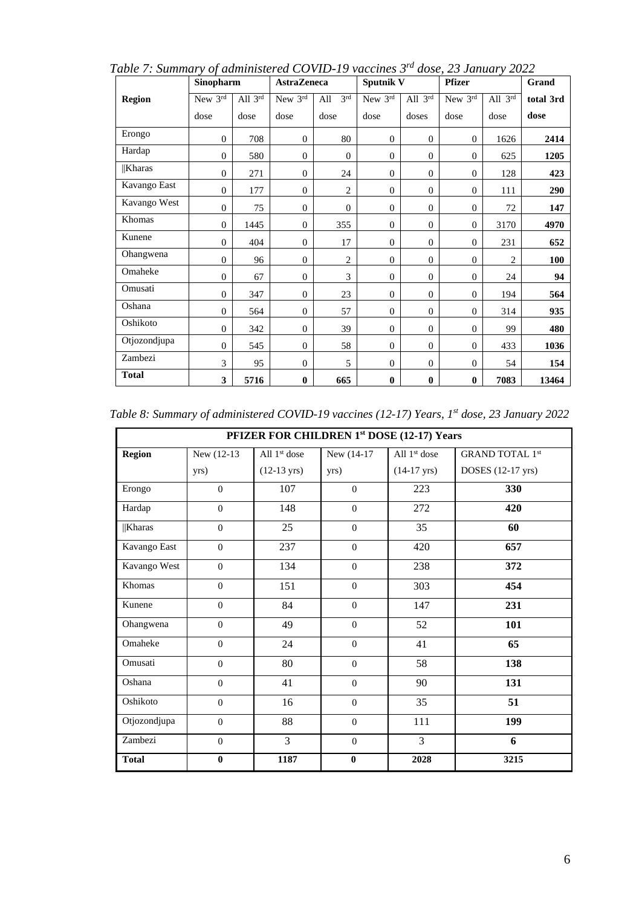|               | Sinopharm      |           | <b>AstraZeneca</b> |                        | Sputnik V      |                | <b>Pfizer</b> |                | Grand     |
|---------------|----------------|-----------|--------------------|------------------------|----------------|----------------|---------------|----------------|-----------|
| <b>Region</b> | New $3rd$      | All $3rd$ | New 3rd            | 3 <sup>rd</sup><br>All | New $3rd$      | All $3rd$      | New 3rd       | All $3rd$      | total 3rd |
|               | dose           | dose      | dose               | dose                   | dose           | doses          | dose          | dose           | dose      |
| Erongo        | $\overline{0}$ | 708       | $\overline{0}$     | 80                     | $\overline{0}$ | $\mathbf{0}$   | $\mathbf{0}$  | 1626           | 2414      |
| Hardap        | $\overline{0}$ | 580       | $\overline{0}$     | $\boldsymbol{0}$       | $\mathbf{0}$   | $\mathbf{0}$   | $\mathbf{0}$  | 625            | 1205      |
| <b>Kharas</b> | $\overline{0}$ | 271       | $\overline{0}$     | 24                     | $\mathbf{0}$   | $\theta$       | $\theta$      | 128            | 423       |
| Kavango East  | $\overline{0}$ | 177       | $\overline{0}$     | $\overline{2}$         | $\overline{0}$ | $\theta$       | $\theta$      | 111            | 290       |
| Kavango West  | $\overline{0}$ | 75        | $\overline{0}$     | $\theta$               | $\mathbf{0}$   | $\mathbf{0}$   | $\mathbf{0}$  | 72             | 147       |
| Khomas        | $\overline{0}$ | 1445      | $\overline{0}$     | 355                    | $\mathbf{0}$   | $\mathbf{0}$   | $\theta$      | 3170           | 4970      |
| Kunene        | $\overline{0}$ | 404       | $\overline{0}$     | 17                     | $\mathbf{0}$   | $\mathbf{0}$   | $\Omega$      | 231            | 652       |
| Ohangwena     | $\overline{0}$ | 96        | $\overline{0}$     | $\overline{2}$         | $\mathbf{0}$   | $\mathbf{0}$   | $\mathbf{0}$  | $\mathfrak{D}$ | 100       |
| Omaheke       | $\overline{0}$ | 67        | $\overline{0}$     | 3                      | $\mathbf{0}$   | $\mathbf{0}$   | $\mathbf{0}$  | 24             | 94        |
| Omusati       | $\overline{0}$ | 347       | $\overline{0}$     | 23                     | $\mathbf{0}$   | $\theta$       | $\mathbf{0}$  | 194            | 564       |
| Oshana        | $\overline{0}$ | 564       | $\overline{0}$     | 57                     | $\mathbf{0}$   | $\overline{0}$ | $\Omega$      | 314            | 935       |
| Oshikoto      | $\overline{0}$ | 342       | $\overline{0}$     | 39                     | $\overline{0}$ | $\overline{0}$ | $\theta$      | 99             | 480       |
| Otjozondjupa  | $\overline{0}$ | 545       | $\overline{0}$     | 58                     | $\overline{0}$ | $\overline{0}$ | $\theta$      | 433            | 1036      |
| Zambezi       | 3              | 95        | $\overline{0}$     | 5                      | $\overline{0}$ | $\overline{0}$ | $\mathbf{0}$  | 54             | 154       |
| <b>Total</b>  | 3              | 5716      | $\bf{0}$           | 665                    | $\bf{0}$       | $\bf{0}$       | $\bf{0}$      | 7083           | 13464     |

*Table 7: Summary of administered COVID-19 vaccines 3rd dose, 23 January 2022*

*Table 8: Summary of administered COVID-19 vaccines (12-17) Years, 1st dose, 23 January 2022*

|               |                |                          |              | PFIZER FOR CHILDREN 1st DOSE (12-17) Years |                        |
|---------------|----------------|--------------------------|--------------|--------------------------------------------|------------------------|
| <b>Region</b> | New (12-13)    | All 1 <sup>st</sup> dose | New (14-17)  | All $1st$ dose                             | <b>GRAND TOTAL 1st</b> |
|               | yrs)           | $(12-13 \text{ yrs})$    | yrs)         | $(14-17 \text{ yrs})$                      | DOSES (12-17 yrs)      |
| Erongo        | $\Omega$       | 107                      | $\Omega$     | 223                                        | 330                    |
| Hardap        | $\mathbf{0}$   | 148                      | $\mathbf{0}$ | 272                                        | 420                    |
| $\ $ Kharas   | $\mathbf{0}$   | 25                       | $\mathbf{0}$ | 35                                         | 60                     |
| Kavango East  | $\Omega$       | 237                      | $\mathbf{0}$ | 420                                        | 657                    |
| Kavango West  | $\mathbf{0}$   | 134                      | $\mathbf{0}$ | 238                                        | 372                    |
| Khomas        | $\Omega$       | 151                      | $\Omega$     | 303                                        | 454                    |
| Kunene        | $\mathbf{0}$   | 84                       | $\mathbf{0}$ | 147                                        | 231                    |
| Ohangwena     | $\Omega$       | 49                       | $\Omega$     | 52                                         | 101                    |
| Omaheke       | $\mathbf{0}$   | 24                       | $\mathbf{0}$ | 41                                         | 65                     |
| Omusati       | $\Omega$       | 80                       | $\mathbf{0}$ | 58                                         | 138                    |
| Oshana        | $\mathbf{0}$   | 41                       | $\mathbf{0}$ | 90                                         | 131                    |
| Oshikoto      | $\mathbf{0}$   | 16                       | $\mathbf{0}$ | 35                                         | 51                     |
| Otjozondjupa  | $\overline{0}$ | 88                       | $\mathbf{0}$ | 111                                        | 199                    |
| Zambezi       | $\overline{0}$ | 3                        | $\mathbf{0}$ | $\overline{3}$                             | 6                      |
| <b>Total</b>  | $\bf{0}$       | 1187                     | $\bf{0}$     | 2028                                       | 3215                   |